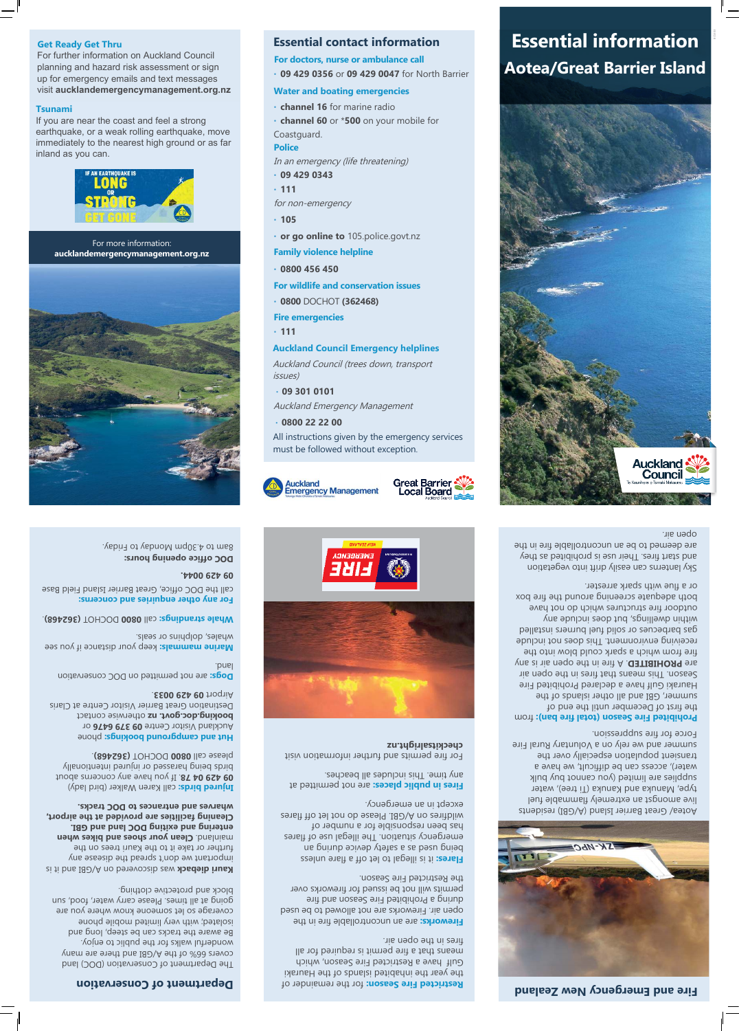BC5303

## checkitsalright.nz

**Great Barrier** 

Local Board



**Essential information** 



 for the remainder of **Restricted Fire Season:** the year the inhabited islands of the Hauraki Gulf have a Restricted Fire Season, which means that a fire permit is required for all fires in the open air.

Fireworks: are an uncontrollable fire in the open air. Fireworks are not allowed to be used during a Prohibited Fire Season and fire permits will not be issued for fireworks over the Restricted Fire Season.

**Flares:** it is illegal to let off a flare unless being as a sepech and the build emergency situation. The illegal use of flares has been responsible for a number of wildfires on A/GBI. Please do not let off flares except in an emergency.

**Fires in public places: are not permitted at** any time. This includes all beaches.

**kauri dieback was discovered on A/GBI and it is** important we don't spread the disease any further or take it to the Kauri trees on the **Clean your shoes and bikes when entering and exiting DOC land and GBI. Cleaning facilities are provided at the airport, wharves and entrances to DOC tracks.**

**Injured birds:** call Karen Walker (bird lady) **09 429 04 78.** If you have any concerns about birds being harassed or injured intentionally **0800 DOCHOT (362468)** 

For fire permits and further information visit

### **Department of Conservation**

**Hut and campground bookings: phone** Auckland Visitor Centre 09 379 6476 or booking.doc.govt. nz otherwise contact Destination Great Barrier Visitor Centre at Claris

**Dogs:** are not permitted on DOC conservation

**Marine mammals:** keep your distance if you see

**1082565 MILLE SOUT DOCHOT (362468)** 

The Department of Conservation (DOC) land covers 66% of the A/GBI and there are many wonderful walks for the public to enjoy. Be aware the tracks can be steep, long and isolated; with very limited mobile phone coverage so let someone know where you are going at all times. Please carry water, food, sun block and protective clothing.

DOC office opening hours: 8am to 4.30pm Monday to Friday.

Airport 09 429 0033.

whales, dolphins or seals.

### summer and we rely on a Voluntary Rural Fire Force for fire suppression.

Prohibited Fire Season (total fire ban): from the first of December until the end of summer, GBI and all other islands of the Hauraki Gulf have a declared Prohibited Fire Season. This means that fires in the open air are **PROHIBITED**. A fire in the open air is any fire from which a spark could blow into the receiving environment. This does not include gas barbecues or solid fuel burners installed within dwellings, but does include any outdoor fire structures which do not have both adequate screening around the fire box

land.



**For any other enquiries and concerns:**

call the DOC office, Great Barrier Island Field Base

**09 429 0044.**

### **Fire and Emergency New Zealand**



**Get Ready Get Thru**

For further information on Auckland Council planning and hazard risk assessment or sign

All instructions given by the emergency services

up for emergency emails and text messages visit **aucklandemergencymanagement.org.nz Tsunami**  If you are near the coast and feel a strong

must be followed without exception.

**Emergency Management** 

earthquake, or a weak rolling earthquake, move immediately to the nearest high ground or as far

inland as you can.

Aotea/ Great Barrier Island (A/GBI) residents live amongst an extremely flammable fuel type, Manuka and Kanuka (Ti tree), water supplies are limited (you cannot bulk water), access can be difficult, we have a transient population especially over the

or a flue with spark arrester.

Sky lanterns can easily drift into vegetation and start fires. Their use is prohibited as they are deemed to be an uncontrollable fire in the open air.

**Auckland Council Emergency helplines** Auckland Council (trees down, transport

issues)

• **0800 22 22 00**

**Auckland** 

### **Essential contact information**

**For doctors, nurse or ambulance call**

• **09 429 0356** or **09 429 0047** for North Barrier

# **Water and boating emergencies**

- **channel 16** for marine radio
- **channel 60** or \***500** on your mobile for Coastguard.

# **Police**

- In an emergency (life threatening)
- **09 429 0343**
- **111**
- for non-emergency
- **105**

- **or go online to** 105.police.govt.nz
- 
- **Family violence helpline**
- 
- 
- 
- 
- **0800 456 450**
- 
- 
- 

## **For wildlife and conservation issues**

- 
- 
- 
- 
- **0800** DOCHOT **(362468)**
- 
- 
- 
- 
- 
- 
- 
- 









# **Fire emergencies**

• **111**

For more information: **aucklandemergencymanagement.org.nz**

• **09 301 0101**

Auckland Emergency Management